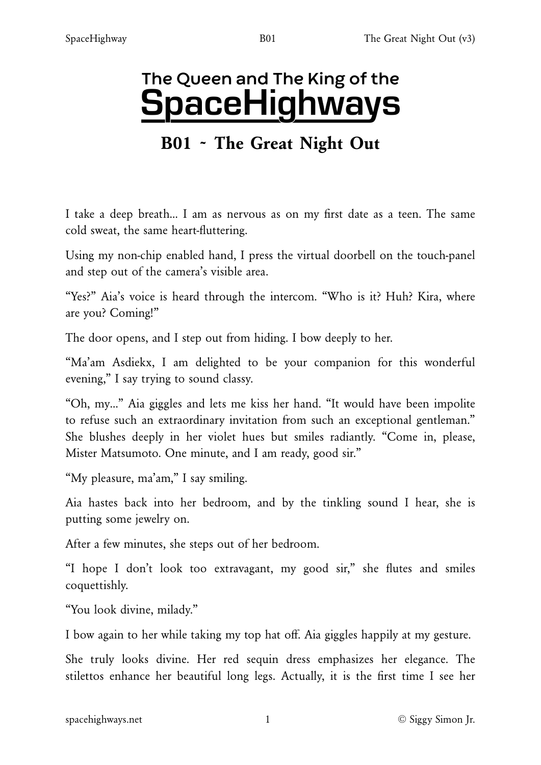# The Queen and The King of the

# **SpaceHighways**

# B01 ~ The Great Night Out

I take a deep breath… I am as nervous as on my first date as a teen. The same cold sweat, the same heart-fluttering.

Using my non-chip enabled hand, I press the virtual doorbell on the touch-panel and step out of the camera's visible area.

"Yes?" Aia's voice is heard through the intercom. "Who is it? Huh? Kira, where are you? Coming!"

The door opens, and I step out from hiding. I bow deeply to her.

"Ma'am Asdiekx, I am delighted to be your companion for this wonderful evening," I say trying to sound classy.

"Oh, my…" Aia giggles and lets me kiss her hand. "It would have been impolite to refuse such an extraordinary invitation from such an exceptional gentleman." She blushes deeply in her violet hues but smiles radiantly. "Come in, please, Mister Matsumoto. One minute, and I am ready, good sir."

"My pleasure, ma'am," I say smiling.

Aia hastes back into her bedroom, and by the tinkling sound I hear, she is putting some jewelry on.

After a few minutes, she steps out of her bedroom.

"I hope I don't look too extravagant, my good sir," she flutes and smiles coquettishly.

"You look divine, milady."

I bow again to her while taking my top hat off. Aia giggles happily at my gesture.

She truly looks divine. Her red sequin dress emphasizes her elegance. The stilettos enhance her beautiful long legs. Actually, it is the first time I see her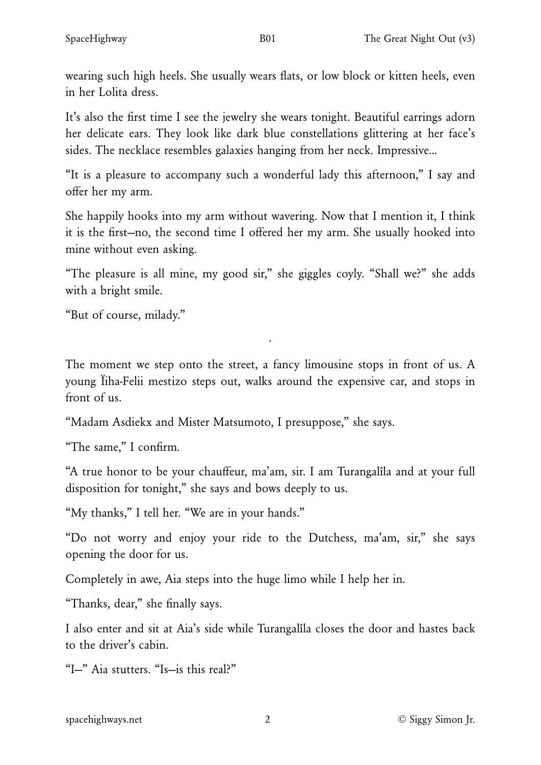wearing such high heels. She usually wears flats, or low block or kitten heels, even in her Lolita dress.

It's also the first time I see the jewelry she wears tonight. Beautiful earrings adorn her delicate ears. They look like dark blue constellations glittering at her face's sides. The necklace resembles galaxies hanging from her neck. Impressive…

"It is a pleasure to accompany such a wonderful lady this afternoon," I say and offer her my arm.

She happily hooks into my arm without wavering. Now that I mention it, I think it is the first—no, the second time I offered her my arm. She usually hooked into mine without even asking.

"The pleasure is all mine, my good sir," she giggles coyly. "Shall we?" she adds with a bright smile.

"But of course, milady."

The moment we step onto the street, a fancy limousine stops in front of us. A young Ïiha-Felii mestizo steps out, walks around the expensive car, and stops in front of us.

·

"Madam Asdiekx and Mister Matsumoto, I presuppose," she says.

"The same," I confirm.

"A true honor to be your chauffeur, ma'am, sir. I am Turangalîla and at your full disposition for tonight," she says and bows deeply to us.

"My thanks," I tell her. "We are in your hands."

"Do not worry and enjoy your ride to the Dutchess, ma'am, sir," she says opening the door for us.

Completely in awe, Aia steps into the huge limo while I help her in.

"Thanks, dear," she finally says.

I also enter and sit at Aia's side while Turangalîla closes the door and hastes back to the driver's cabin.

"I—" Aia stutters. "Is—is this real?"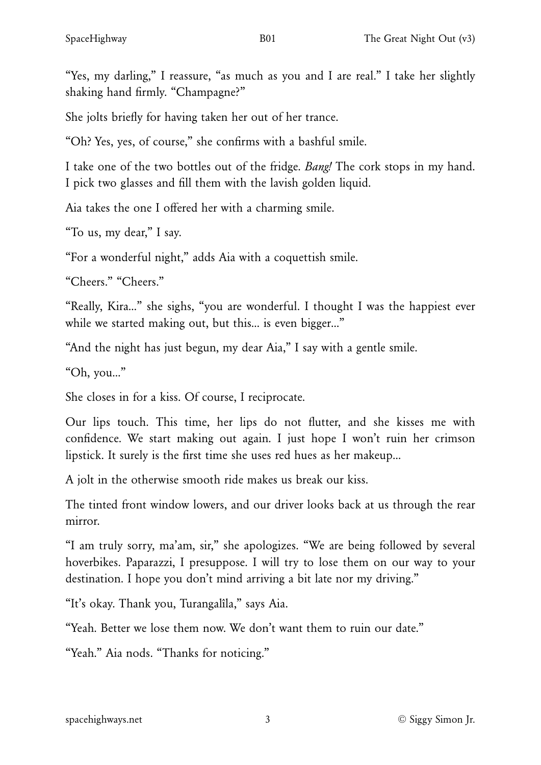"Yes, my darling," I reassure, "as much as you and I are real." I take her slightly shaking hand firmly. "Champagne?"

She jolts briefly for having taken her out of her trance.

"Oh? Yes, yes, of course," she confirms with a bashful smile.

I take one of the two bottles out of the fridge. *Bang!* The cork stops in my hand. I pick two glasses and fill them with the lavish golden liquid.

Aia takes the one I offered her with a charming smile.

"To us, my dear," I say.

"For a wonderful night," adds Aia with a coquettish smile.

"Cheers." "Cheers."

"Really, Kira…" she sighs, "you are wonderful. I thought I was the happiest ever while we started making out, but this... is even bigger..."

"And the night has just begun, my dear Aia," I say with a gentle smile.

"Oh, you…"

She closes in for a kiss. Of course, I reciprocate.

Our lips touch. This time, her lips do not flutter, and she kisses me with confidence. We start making out again. I just hope I won't ruin her crimson lipstick. It surely is the first time she uses red hues as her makeup…

A jolt in the otherwise smooth ride makes us break our kiss.

The tinted front window lowers, and our driver looks back at us through the rear mirror.

"I am truly sorry, ma'am, sir," she apologizes. "We are being followed by several hoverbikes. Paparazzi, I presuppose. I will try to lose them on our way to your destination. I hope you don't mind arriving a bit late nor my driving."

"It's okay. Thank you, Turangalîla," says Aia.

"Yeah. Better we lose them now. We don't want them to ruin our date."

"Yeah." Aia nods. "Thanks for noticing."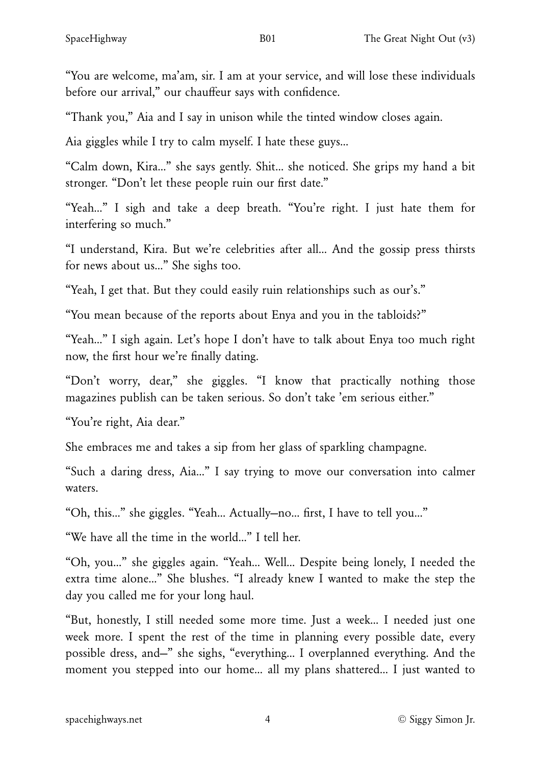"You are welcome, ma'am, sir. I am at your service, and will lose these individuals before our arrival," our chauffeur says with confidence.

"Thank you," Aia and I say in unison while the tinted window closes again.

Aia giggles while I try to calm myself. I hate these guys…

"Calm down, Kira…" she says gently. Shit… she noticed. She grips my hand a bit stronger. "Don't let these people ruin our first date."

"Yeah…" I sigh and take a deep breath. "You're right. I just hate them for interfering so much."

"I understand, Kira. But we're celebrities after all… And the gossip press thirsts for news about us…" She sighs too.

"Yeah, I get that. But they could easily ruin relationships such as our's."

"You mean because of the reports about Enya and you in the tabloids?"

"Yeah…" I sigh again. Let's hope I don't have to talk about Enya too much right now, the first hour we're finally dating.

"Don't worry, dear," she giggles. "I know that practically nothing those magazines publish can be taken serious. So don't take 'em serious either."

"You're right, Aia dear."

She embraces me and takes a sip from her glass of sparkling champagne.

"Such a daring dress, Aia…" I say trying to move our conversation into calmer waters.

"Oh, this…" she giggles. "Yeah… Actually—no… first, I have to tell you…"

"We have all the time in the world…" I tell her.

"Oh, you…" she giggles again. "Yeah… Well… Despite being lonely, I needed the extra time alone…" She blushes. "I already knew I wanted to make the step the day you called me for your long haul.

"But, honestly, I still needed some more time. Just a week… I needed just one week more. I spent the rest of the time in planning every possible date, every possible dress, and—" she sighs, "everything… I overplanned everything. And the moment you stepped into our home… all my plans shattered… I just wanted to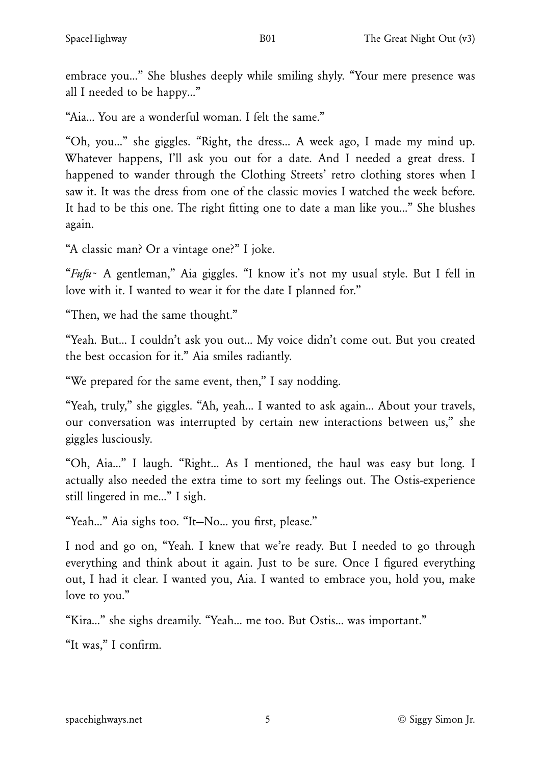embrace you…" She blushes deeply while smiling shyly. "Your mere presence was all I needed to be happy…"

"Aia… You are a wonderful woman. I felt the same."

"Oh, you…" she giggles. "Right, the dress… A week ago, I made my mind up. Whatever happens, I'll ask you out for a date. And I needed a great dress. I happened to wander through the Clothing Streets' retro clothing stores when I saw it. It was the dress from one of the classic movies I watched the week before. It had to be this one. The right fitting one to date a man like you…" She blushes again.

"A classic man? Or a vintage one?" I joke.

"*Fufu*~ A gentleman," Aia giggles. "I know it's not my usual style. But I fell in love with it. I wanted to wear it for the date I planned for."

"Then, we had the same thought."

"Yeah. But… I couldn't ask you out… My voice didn't come out. But you created the best occasion for it." Aia smiles radiantly.

"We prepared for the same event, then," I say nodding.

"Yeah, truly," she giggles. "Ah, yeah… I wanted to ask again… About your travels, our conversation was interrupted by certain new interactions between us," she giggles lusciously.

"Oh, Aia…" I laugh. "Right… As I mentioned, the haul was easy but long. I actually also needed the extra time to sort my feelings out. The Ostis-experience still lingered in me…" I sigh.

"Yeah…" Aia sighs too. "It—No… you first, please."

I nod and go on, "Yeah. I knew that we're ready. But I needed to go through everything and think about it again. Just to be sure. Once I figured everything out, I had it clear. I wanted you, Aia. I wanted to embrace you, hold you, make love to you."

"Kira…" she sighs dreamily. "Yeah… me too. But Ostis… was important."

"It was," I confirm.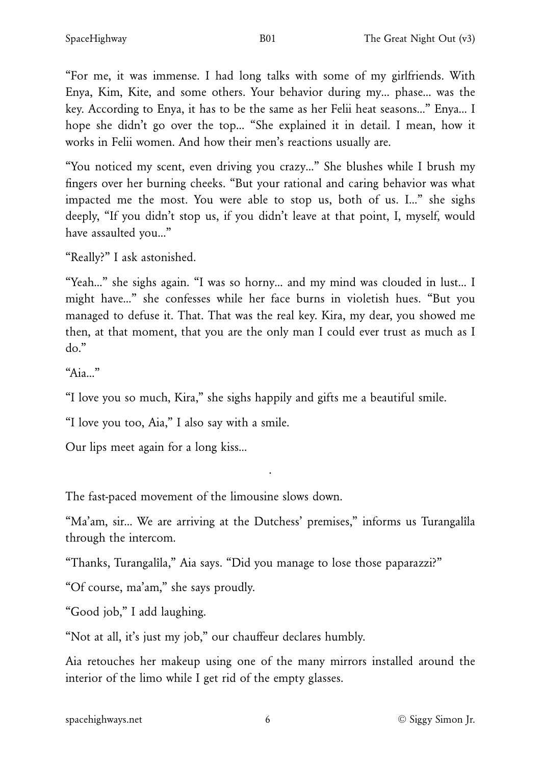"For me, it was immense. I had long talks with some of my girlfriends. With Enya, Kim, Kite, and some others. Your behavior during my… phase… was the key. According to Enya, it has to be the same as her Felii heat seasons…" Enya… I hope she didn't go over the top… "She explained it in detail. I mean, how it works in Felii women. And how their men's reactions usually are.

"You noticed my scent, even driving you crazy…" She blushes while I brush my fingers over her burning cheeks. "But your rational and caring behavior was what impacted me the most. You were able to stop us, both of us. I…" she sighs deeply, "If you didn't stop us, if you didn't leave at that point, I, myself, would have assaulted you…"

"Really?" I ask astonished.

"Yeah…" she sighs again. "I was so horny… and my mind was clouded in lust… I might have…" she confesses while her face burns in violetish hues. "But you managed to defuse it. That. That was the real key. Kira, my dear, you showed me then, at that moment, that you are the only man I could ever trust as much as I do."

"Aia…"

"I love you so much, Kira," she sighs happily and gifts me a beautiful smile.

"I love you too, Aia," I also say with a smile.

Our lips meet again for a long kiss…

The fast-paced movement of the limousine slows down.

"Ma'am, sir… We are arriving at the Dutchess' premises," informs us Turangalîla through the intercom.

·

"Thanks, Turangalîla," Aia says. "Did you manage to lose those paparazzi?"

"Of course, ma'am," she says proudly.

"Good job," I add laughing.

"Not at all, it's just my job," our chauffeur declares humbly.

Aia retouches her makeup using one of the many mirrors installed around the interior of the limo while I get rid of the empty glasses.

[spacehighways.net](https://spacehighways.net) 6 6 6 6 6 6 6 6 6 6 6 6 6 6 6 6 6 7 6 6 6 6 7 7 8 7 7 8 7 7 8 7 7 8 7 7 8 7 7 8 7 7 8 7 7 8 7 7 8 7 7 8 7 7 8 7 7 8 7 7 8 7 7 8 7 7 8 7 7 8 7 7 8 7 7 8 7 7 8 7 7 8 7 7 8 7 7 8 7 7 8 7 7 8 7 7 8 7 7 8 7 7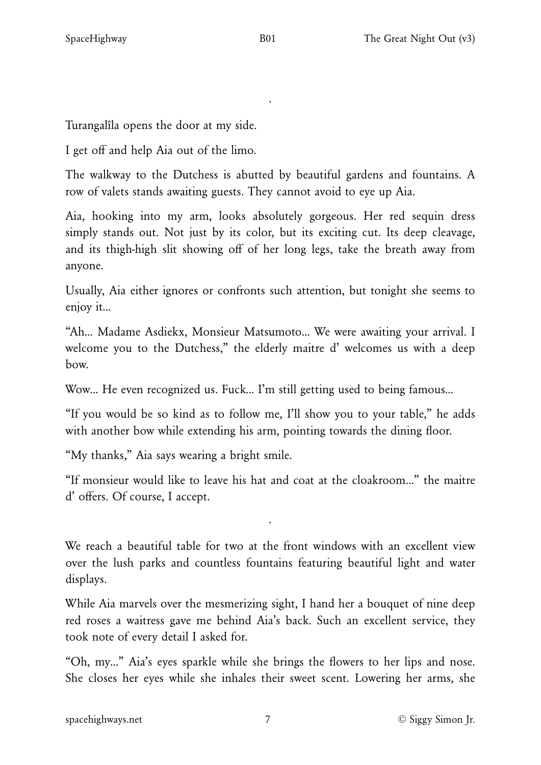Turangalîla opens the door at my side.

I get off and help Aia out of the limo.

The walkway to the Dutchess is abutted by beautiful gardens and fountains. A row of valets stands awaiting guests. They cannot avoid to eye up Aia.

·

Aia, hooking into my arm, looks absolutely gorgeous. Her red sequin dress simply stands out. Not just by its color, but its exciting cut. Its deep cleavage, and its thigh-high slit showing off of her long legs, take the breath away from anyone.

Usually, Aia either ignores or confronts such attention, but tonight she seems to enjoy it…

"Ah… Madame Asdiekx, Monsieur Matsumoto… We were awaiting your arrival. I welcome you to the Dutchess," the elderly maitre d' welcomes us with a deep bow.

Wow… He even recognized us. Fuck… I'm still getting used to being famous…

"If you would be so kind as to follow me, I'll show you to your table," he adds with another bow while extending his arm, pointing towards the dining floor.

"My thanks," Aia says wearing a bright smile.

"If monsieur would like to leave his hat and coat at the cloakroom…" the maitre d' offers. Of course, I accept.

·

We reach a beautiful table for two at the front windows with an excellent view over the lush parks and countless fountains featuring beautiful light and water displays.

While Aia marvels over the mesmerizing sight, I hand her a bouquet of nine deep red roses a waitress gave me behind Aia's back. Such an excellent service, they took note of every detail I asked for.

"Oh, my…" Aia's eyes sparkle while she brings the flowers to her lips and nose. She closes her eyes while she inhales their sweet scent. Lowering her arms, she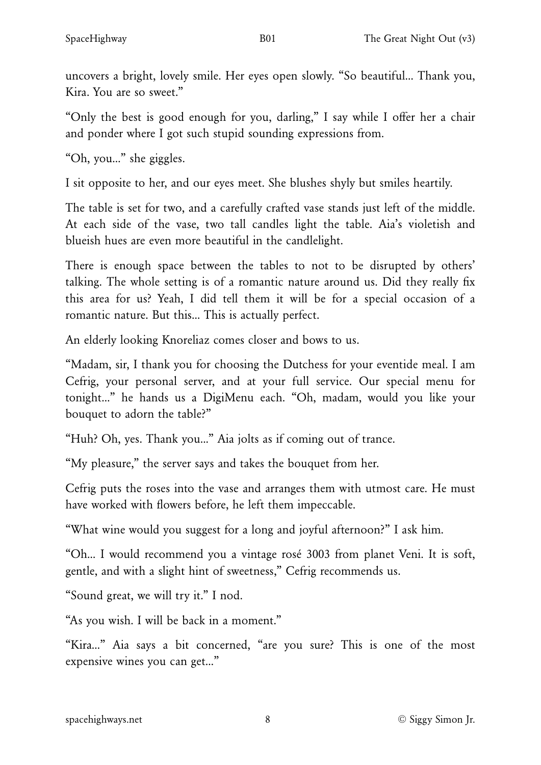uncovers a bright, lovely smile. Her eyes open slowly. "So beautiful… Thank you, Kira. You are so sweet."

"Only the best is good enough for you, darling," I say while I offer her a chair and ponder where I got such stupid sounding expressions from.

"Oh, you…" she giggles.

I sit opposite to her, and our eyes meet. She blushes shyly but smiles heartily.

The table is set for two, and a carefully crafted vase stands just left of the middle. At each side of the vase, two tall candles light the table. Aia's violetish and blueish hues are even more beautiful in the candlelight.

There is enough space between the tables to not to be disrupted by others' talking. The whole setting is of a romantic nature around us. Did they really fix this area for us? Yeah, I did tell them it will be for a special occasion of a romantic nature. But this… This is actually perfect.

An elderly looking Knoreliaz comes closer and bows to us.

"Madam, sir, I thank you for choosing the Dutchess for your eventide meal. I am Cefrig, your personal server, and at your full service. Our special menu for tonight…" he hands us a DigiMenu each. "Oh, madam, would you like your bouquet to adorn the table?"

"Huh? Oh, yes. Thank you..." Aia jolts as if coming out of trance.

"My pleasure," the server says and takes the bouquet from her.

Cefrig puts the roses into the vase and arranges them with utmost care. He must have worked with flowers before, he left them impeccable.

"What wine would you suggest for a long and joyful afternoon?" I ask him.

"Oh… I would recommend you a vintage rosé 3003 from planet Veni. It is soft, gentle, and with a slight hint of sweetness," Cefrig recommends us.

"Sound great, we will try it." I nod.

"As you wish. I will be back in a moment."

"Kira…" Aia says a bit concerned, "are you sure? This is one of the most expensive wines you can get…"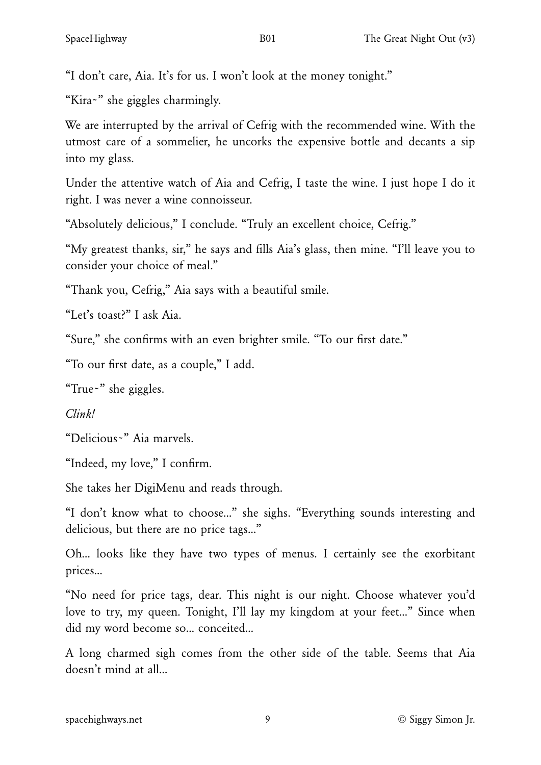"I don't care, Aia. It's for us. I won't look at the money tonight."

"Kira~" she giggles charmingly.

We are interrupted by the arrival of Cefrig with the recommended wine. With the utmost care of a sommelier, he uncorks the expensive bottle and decants a sip into my glass.

Under the attentive watch of Aia and Cefrig, I taste the wine. I just hope I do it right. I was never a wine connoisseur.

"Absolutely delicious," I conclude. "Truly an excellent choice, Cefrig."

"My greatest thanks, sir," he says and fills Aia's glass, then mine. "I'll leave you to consider your choice of meal."

"Thank you, Cefrig," Aia says with a beautiful smile.

"Let's toast?" I ask Aia.

"Sure," she confirms with an even brighter smile. "To our first date."

"To our first date, as a couple," I add.

"True~" she giggles.

*Clink!*

"Delicious~" Aia marvels.

"Indeed, my love," I confirm.

She takes her DigiMenu and reads through.

"I don't know what to choose…" she sighs. "Everything sounds interesting and delicious, but there are no price tags…"

Oh… looks like they have two types of menus. I certainly see the exorbitant prices…

"No need for price tags, dear. This night is our night. Choose whatever you'd love to try, my queen. Tonight, I'll lay my kingdom at your feet…" Since when did my word become so… conceited…

A long charmed sigh comes from the other side of the table. Seems that Aia doesn't mind at all…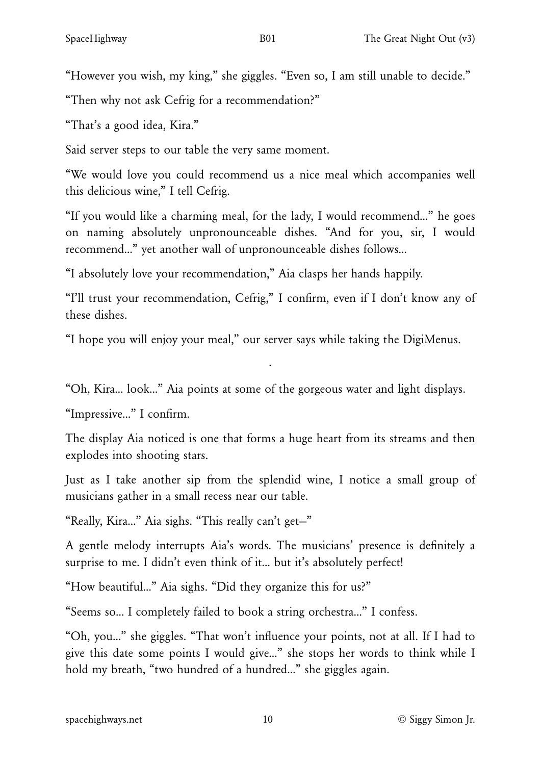"However you wish, my king," she giggles. "Even so, I am still unable to decide."

"Then why not ask Cefrig for a recommendation?"

"That's a good idea, Kira."

Said server steps to our table the very same moment.

"We would love you could recommend us a nice meal which accompanies well this delicious wine," I tell Cefrig.

"If you would like a charming meal, for the lady, I would recommend…" he goes on naming absolutely unpronounceable dishes. "And for you, sir, I would recommend…" yet another wall of unpronounceable dishes follows…

"I absolutely love your recommendation," Aia clasps her hands happily.

"I'll trust your recommendation, Cefrig," I confirm, even if I don't know any of these dishes.

"I hope you will enjoy your meal," our server says while taking the DigiMenus.

"Oh, Kira… look…" Aia points at some of the gorgeous water and light displays.

·

"Impressive…" I confirm.

The display Aia noticed is one that forms a huge heart from its streams and then explodes into shooting stars.

Just as I take another sip from the splendid wine, I notice a small group of musicians gather in a small recess near our table.

"Really, Kira…" Aia sighs. "This really can't get—"

A gentle melody interrupts Aia's words. The musicians' presence is definitely a surprise to me. I didn't even think of it… but it's absolutely perfect!

"How beautiful…" Aia sighs. "Did they organize this for us?"

"Seems so… I completely failed to book a string orchestra…" I confess.

"Oh, you…" she giggles. "That won't influence your points, not at all. If I had to give this date some points I would give…" she stops her words to think while I hold my breath, "two hundred of a hundred…" she giggles again.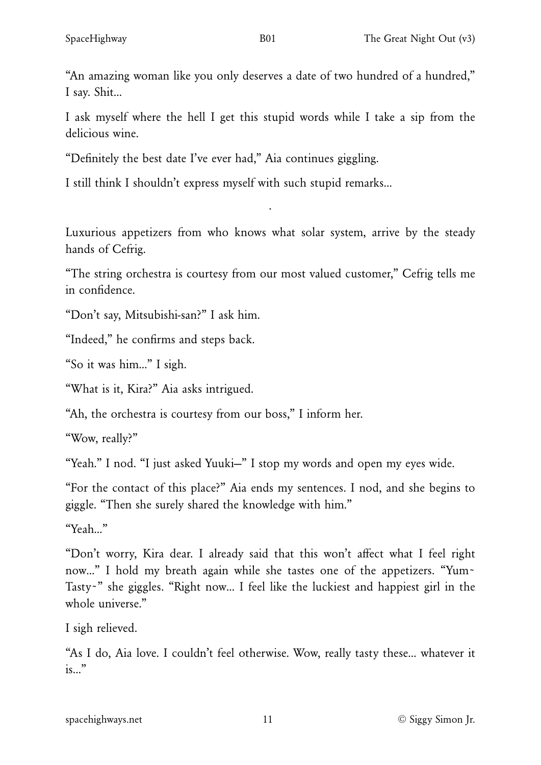"An amazing woman like you only deserves a date of two hundred of a hundred," I say. Shit…

I ask myself where the hell I get this stupid words while I take a sip from the delicious wine.

"Definitely the best date I've ever had," Aia continues giggling.

I still think I shouldn't express myself with such stupid remarks…

Luxurious appetizers from who knows what solar system, arrive by the steady hands of Cefrig.

·

"The string orchestra is courtesy from our most valued customer," Cefrig tells me in confidence.

"Don't say, Mitsubishi-san?" I ask him.

"Indeed," he confirms and steps back.

"So it was him…" I sigh.

"What is it, Kira?" Aia asks intrigued.

"Ah, the orchestra is courtesy from our boss," I inform her.

"Wow, really?"

"Yeah." I nod. "I just asked Yuuki—" I stop my words and open my eyes wide.

"For the contact of this place?" Aia ends my sentences. I nod, and she begins to giggle. "Then she surely shared the knowledge with him."

"Yeah…"

"Don't worry, Kira dear. I already said that this won't affect what I feel right now..." I hold my breath again while she tastes one of the appetizers. "Yum~ Tasty~" she giggles. "Right now… I feel like the luckiest and happiest girl in the whole universe."

I sigh relieved.

"As I do, Aia love. I couldn't feel otherwise. Wow, really tasty these… whatever it is…"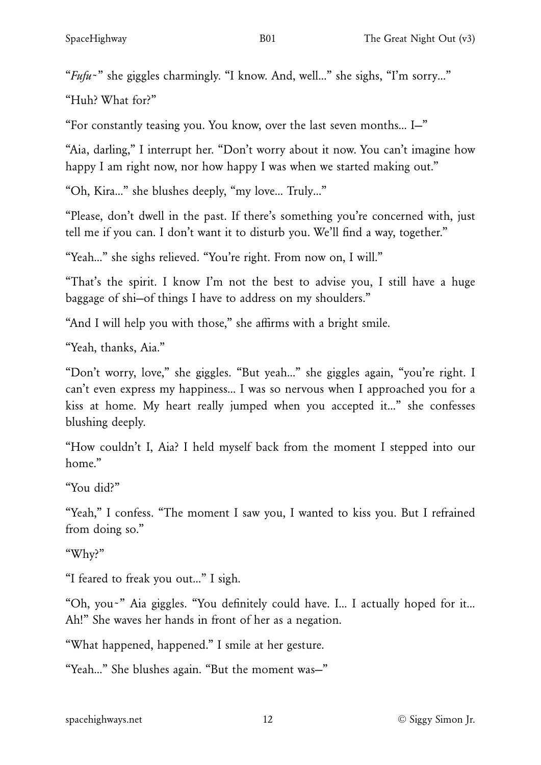"*Fufu*~" she giggles charmingly. "I know. And, well…" she sighs, "I'm sorry…"

"Huh? What for?"

"For constantly teasing you. You know, over the last seven months… I—"

"Aia, darling," I interrupt her. "Don't worry about it now. You can't imagine how happy I am right now, nor how happy I was when we started making out."

"Oh, Kira…" she blushes deeply, "my love… Truly…"

"Please, don't dwell in the past. If there's something you're concerned with, just tell me if you can. I don't want it to disturb you. We'll find a way, together."

"Yeah…" she sighs relieved. "You're right. From now on, I will."

"That's the spirit. I know I'm not the best to advise you, I still have a huge baggage of shi—of things I have to address on my shoulders."

"And I will help you with those," she affirms with a bright smile.

"Yeah, thanks, Aia."

"Don't worry, love," she giggles. "But yeah…" she giggles again, "you're right. I can't even express my happiness… I was so nervous when I approached you for a kiss at home. My heart really jumped when you accepted it…" she confesses blushing deeply.

"How couldn't I, Aia? I held myself back from the moment I stepped into our home."

"You did?"

"Yeah," I confess. "The moment I saw you, I wanted to kiss you. But I refrained from doing so."

"Why?"

"I feared to freak you out…" I sigh.

"Oh, you~" Aia giggles. "You definitely could have. I… I actually hoped for it… Ah!" She waves her hands in front of her as a negation.

"What happened, happened." I smile at her gesture.

"Yeah…" She blushes again. "But the moment was—"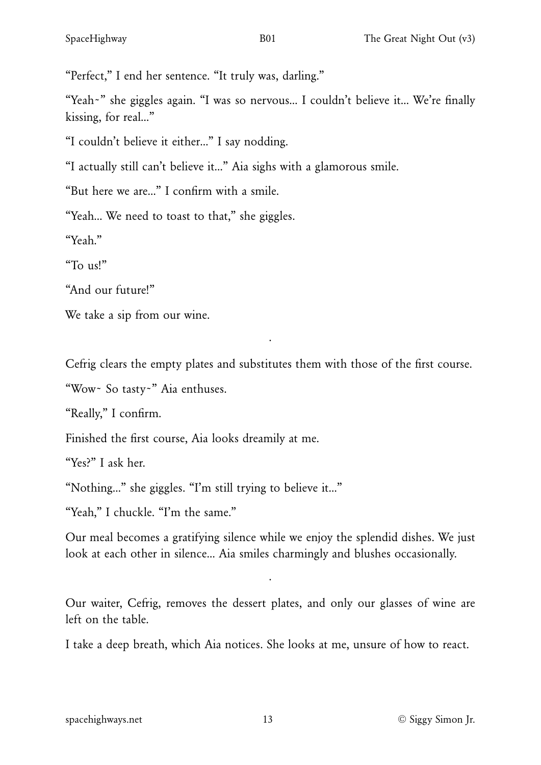"Perfect," I end her sentence. "It truly was, darling."

"Yeah~" she giggles again. "I was so nervous… I couldn't believe it… We're finally kissing, for real…"

"I couldn't believe it either…" I say nodding.

"I actually still can't believe it…" Aia sighs with a glamorous smile.

"But here we are…" I confirm with a smile.

"Yeah… We need to toast to that," she giggles.

"Yeah."

"To us!"

"And our future!"

We take a sip from our wine.

Cefrig clears the empty plates and substitutes them with those of the first course.

·

"Wow~ So tasty~" Aia enthuses.

"Really," I confirm.

Finished the first course, Aia looks dreamily at me.

"Yes?" I ask her.

"Nothing…" she giggles. "I'm still trying to believe it…"

"Yeah," I chuckle. "I'm the same."

Our meal becomes a gratifying silence while we enjoy the splendid dishes. We just look at each other in silence… Aia smiles charmingly and blushes occasionally.

Our waiter, Cefrig, removes the dessert plates, and only our glasses of wine are left on the table.

·

I take a deep breath, which Aia notices. She looks at me, unsure of how to react.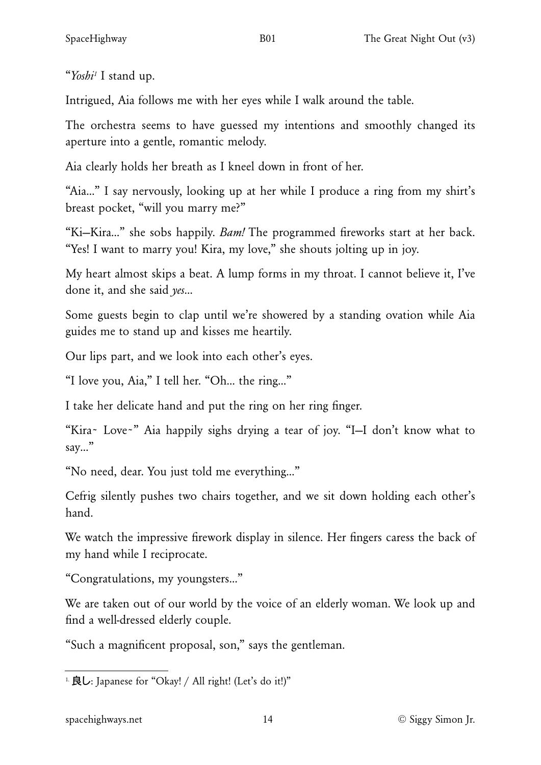<span id="page-13-1"></span>"*Yosh[i1](#page-13-0)* I stand up.

Intrigued, Aia follows me with her eyes while I walk around the table.

The orchestra seems to have guessed my intentions and smoothly changed its aperture into a gentle, romantic melody.

Aia clearly holds her breath as I kneel down in front of her.

"Aia…" I say nervously, looking up at her while I produce a ring from my shirt's breast pocket, "will you marry me?"

"Ki—Kira…" she sobs happily. *Bam!* The programmed fireworks start at her back. "Yes! I want to marry you! Kira, my love," she shouts jolting up in joy.

My heart almost skips a beat. A lump forms in my throat. I cannot believe it, I've done it, and she said *yes*…

Some guests begin to clap until we're showered by a standing ovation while Aia guides me to stand up and kisses me heartily.

Our lips part, and we look into each other's eyes.

"I love you, Aia," I tell her. "Oh… the ring…"

I take her delicate hand and put the ring on her ring finger.

"Kira~ Love~" Aia happily sighs drying a tear of joy. "I—I don't know what to say…"

"No need, dear. You just told me everything…"

Cefrig silently pushes two chairs together, and we sit down holding each other's hand.

We watch the impressive firework display in silence. Her fingers caress the back of my hand while I reciprocate.

"Congratulations, my youngsters…"

We are taken out of our world by the voice of an elderly woman. We look up and find a well-dressed elderly couple.

"Such a magnificent proposal, son," says the gentleman.

<span id="page-13-0"></span><sup>1</sup> **良し**: Japanese for "Okay! / All right! (Let's do it!)"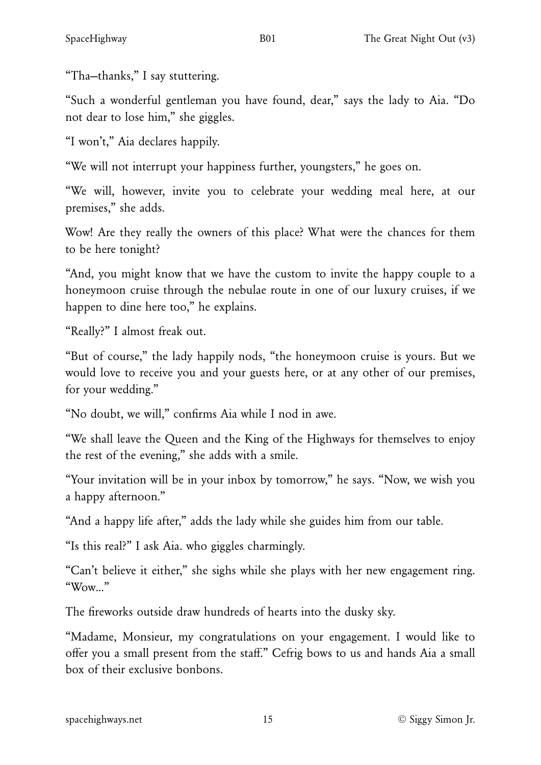"Tha—thanks," I say stuttering.

"Such a wonderful gentleman you have found, dear," says the lady to Aia. "Do not dear to lose him," she giggles.

"I won't," Aia declares happily.

"We will not interrupt your happiness further, youngsters," he goes on.

"We will, however, invite you to celebrate your wedding meal here, at our premises," she adds.

Wow! Are they really the owners of this place? What were the chances for them to be here tonight?

"And, you might know that we have the custom to invite the happy couple to a honeymoon cruise through the nebulae route in one of our luxury cruises, if we happen to dine here too," he explains.

"Really?" I almost freak out.

"But of course," the lady happily nods, "the honeymoon cruise is yours. But we would love to receive you and your guests here, or at any other of our premises, for your wedding."

"No doubt, we will," confirms Aia while I nod in awe.

"We shall leave the Queen and the King of the Highways for themselves to enjoy the rest of the evening," she adds with a smile.

"Your invitation will be in your inbox by tomorrow," he says. "Now, we wish you a happy afternoon."

"And a happy life after," adds the lady while she guides him from our table.

"Is this real?" I ask Aia. who giggles charmingly.

"Can't believe it either," she sighs while she plays with her new engagement ring. "Wow…"

The fireworks outside draw hundreds of hearts into the dusky sky.

"Madame, Monsieur, my congratulations on your engagement. I would like to offer you a small present from the staff." Cefrig bows to us and hands Aia a small box of their exclusive bonbons.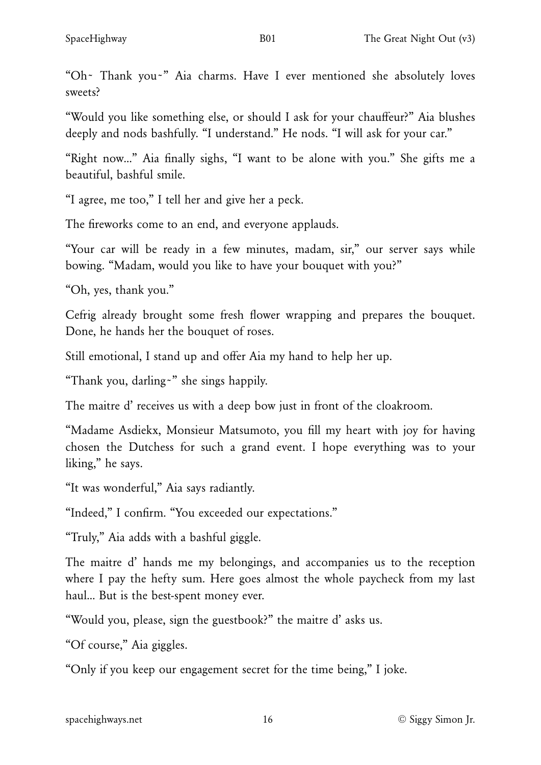"Oh~ Thank you~" Aia charms. Have I ever mentioned she absolutely loves sweets?

"Would you like something else, or should I ask for your chauffeur?" Aia blushes deeply and nods bashfully. "I understand." He nods. "I will ask for your car."

"Right now…" Aia finally sighs, "I want to be alone with you." She gifts me a beautiful, bashful smile.

"I agree, me too," I tell her and give her a peck.

The fireworks come to an end, and everyone applauds.

"Your car will be ready in a few minutes, madam, sir," our server says while bowing. "Madam, would you like to have your bouquet with you?"

"Oh, yes, thank you."

Cefrig already brought some fresh flower wrapping and prepares the bouquet. Done, he hands her the bouquet of roses.

Still emotional, I stand up and offer Aia my hand to help her up.

"Thank you, darling~" she sings happily.

The maitre d' receives us with a deep bow just in front of the cloakroom.

"Madame Asdiekx, Monsieur Matsumoto, you fill my heart with joy for having chosen the Dutchess for such a grand event. I hope everything was to your liking," he says.

"It was wonderful," Aia says radiantly.

"Indeed," I confirm. "You exceeded our expectations."

"Truly," Aia adds with a bashful giggle.

The maitre d' hands me my belongings, and accompanies us to the reception where I pay the hefty sum. Here goes almost the whole paycheck from my last haul… But is the best-spent money ever.

"Would you, please, sign the guestbook?" the maitre d' asks us.

"Of course," Aia giggles.

"Only if you keep our engagement secret for the time being," I joke.

[spacehighways.net](https://spacehighways.net) 16 and 16 © Siggy Simon Jr.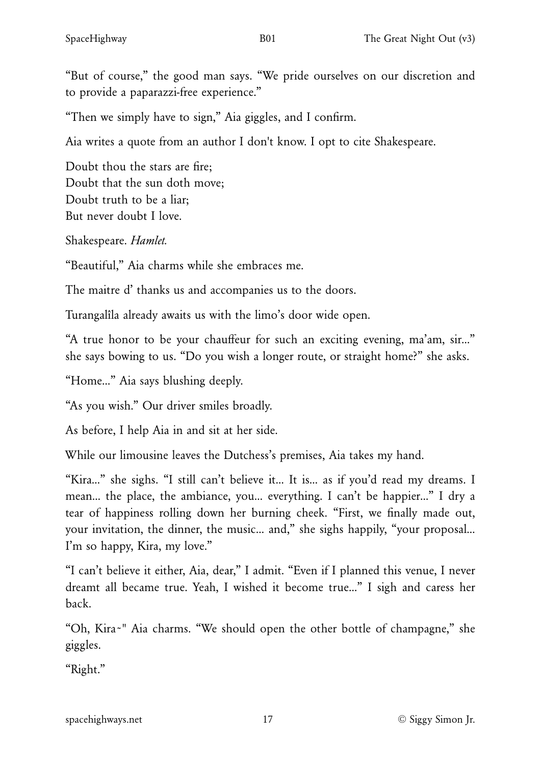"But of course," the good man says. "We pride ourselves on our discretion and to provide a paparazzi-free experience."

"Then we simply have to sign," Aia giggles, and I confirm.

Aia writes a quote from an author I don't know. I opt to cite Shakespeare.

Doubt thou the stars are fire; Doubt that the sun doth move; Doubt truth to be a liar; But never doubt I love.

Shakespeare. *Hamlet.*

"Beautiful," Aia charms while she embraces me.

The maitre d' thanks us and accompanies us to the doors.

Turangalîla already awaits us with the limo's door wide open.

"A true honor to be your chauffeur for such an exciting evening, ma'am, sir…" she says bowing to us. "Do you wish a longer route, or straight home?" she asks.

"Home…" Aia says blushing deeply.

"As you wish." Our driver smiles broadly.

As before, I help Aia in and sit at her side.

While our limousine leaves the Dutchess's premises, Aia takes my hand.

"Kira…" she sighs. "I still can't believe it… It is… as if you'd read my dreams. I mean… the place, the ambiance, you… everything. I can't be happier…" I dry a tear of happiness rolling down her burning cheek. "First, we finally made out, your invitation, the dinner, the music… and," she sighs happily, "your proposal… I'm so happy, Kira, my love."

"I can't believe it either, Aia, dear," I admit. "Even if I planned this venue, I never dreamt all became true. Yeah, I wished it become true…" I sigh and caress her back.

"Oh, Kira~" Aia charms. "We should open the other bottle of champagne," she giggles.

"Right."

[spacehighways.net](https://spacehighways.net) 17 17 © Siggy Simon Jr.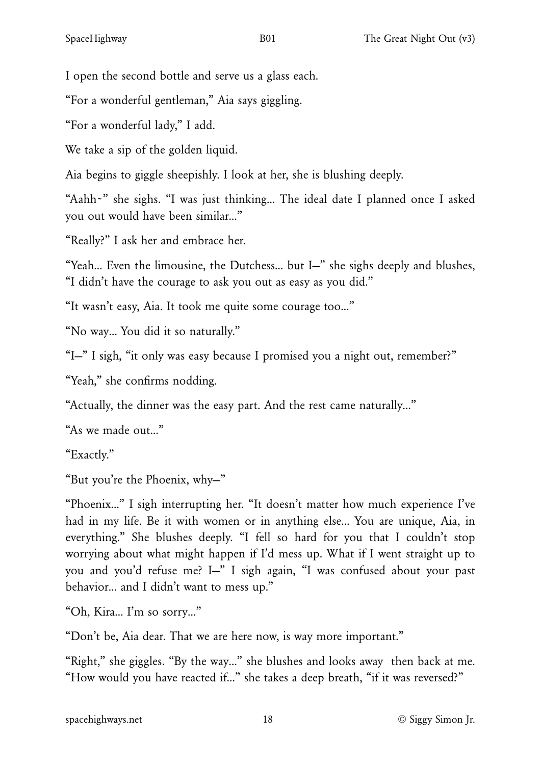I open the second bottle and serve us a glass each.

"For a wonderful gentleman," Aia says giggling.

"For a wonderful lady," I add.

We take a sip of the golden liquid.

Aia begins to giggle sheepishly. I look at her, she is blushing deeply.

"Aahh~" she sighs. "I was just thinking… The ideal date I planned once I asked you out would have been similar…"

"Really?" I ask her and embrace her.

"Yeah… Even the limousine, the Dutchess… but I—" she sighs deeply and blushes, "I didn't have the courage to ask you out as easy as you did."

"It wasn't easy, Aia. It took me quite some courage too…"

"No way… You did it so naturally."

"I—" I sigh, "it only was easy because I promised you a night out, remember?"

"Yeah," she confirms nodding.

"Actually, the dinner was the easy part. And the rest came naturally…"

"As we made out…"

"Exactly."

"But you're the Phoenix, why—"

"Phoenix…" I sigh interrupting her. "It doesn't matter how much experience I've had in my life. Be it with women or in anything else… You are unique, Aia, in everything." She blushes deeply. "I fell so hard for you that I couldn't stop worrying about what might happen if I'd mess up. What if I went straight up to you and you'd refuse me? I—" I sigh again, "I was confused about your past behavior… and I didn't want to mess up."

"Oh, Kira… I'm so sorry…"

"Don't be, Aia dear. That we are here now, is way more important."

"Right," she giggles. "By the way…" she blushes and looks away then back at me. "How would you have reacted if…" she takes a deep breath, "if it was reversed?"

[spacehighways.net](https://spacehighways.net) 18 and 18 and 18 and 18 and 18 and 18 and 18 and 18 and 18 and 18 and 18 and 18 and 18 and 1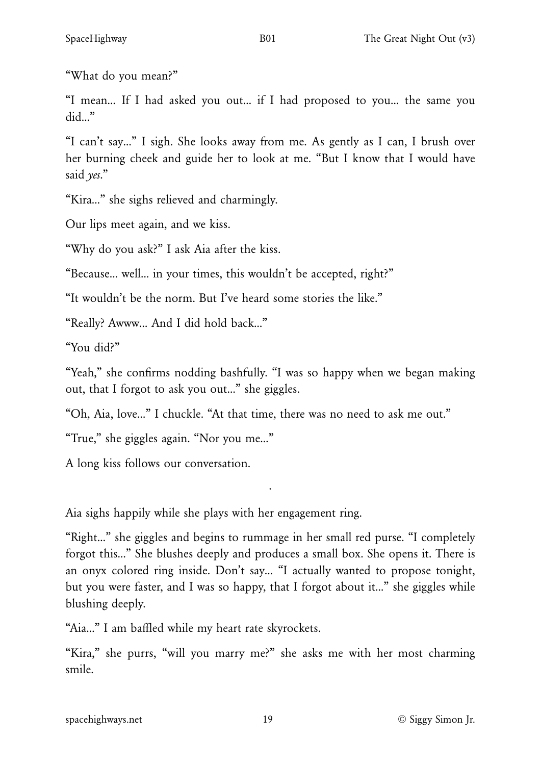"What do you mean?"

"I mean… If I had asked you out… if I had proposed to you… the same you did…"

"I can't say…" I sigh. She looks away from me. As gently as I can, I brush over her burning cheek and guide her to look at me. "But I know that I would have said *yes*."

"Kira…" she sighs relieved and charmingly.

Our lips meet again, and we kiss.

"Why do you ask?" I ask Aia after the kiss.

"Because… well… in your times, this wouldn't be accepted, right?"

"It wouldn't be the norm. But I've heard some stories the like."

"Really? Awww… And I did hold back…"

"You did?"

"Yeah," she confirms nodding bashfully. "I was so happy when we began making out, that I forgot to ask you out…" she giggles.

"Oh, Aia, love…" I chuckle. "At that time, there was no need to ask me out."

"True," she giggles again. "Nor you me…"

A long kiss follows our conversation.

Aia sighs happily while she plays with her engagement ring.

"Right…" she giggles and begins to rummage in her small red purse. "I completely forgot this…" She blushes deeply and produces a small box. She opens it. There is an onyx colored ring inside. Don't say… "I actually wanted to propose tonight, but you were faster, and I was so happy, that I forgot about it…" she giggles while blushing deeply.

·

"Aia…" I am baffled while my heart rate skyrockets.

"Kira," she purrs, "will you marry me?" she asks me with her most charming smile.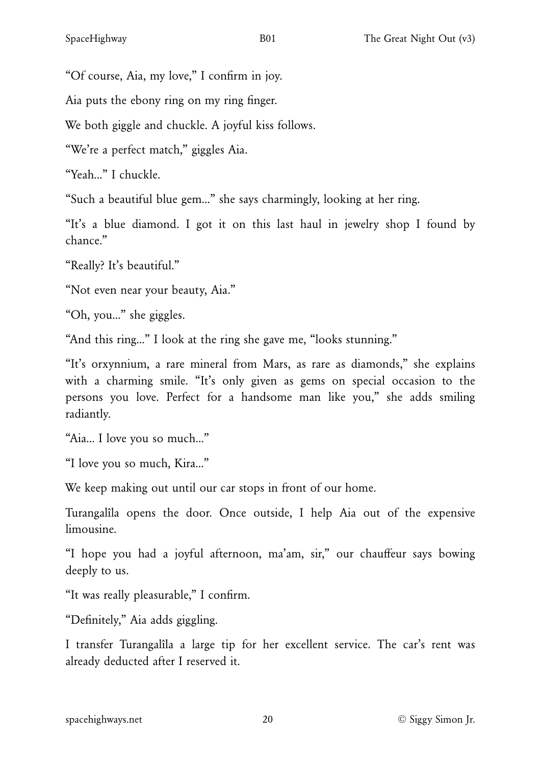"Of course, Aia, my love," I confirm in joy.

Aia puts the ebony ring on my ring finger.

We both giggle and chuckle. A joyful kiss follows.

"We're a perfect match," giggles Aia.

"Yeah…" I chuckle.

"Such a beautiful blue gem…" she says charmingly, looking at her ring.

"It's a blue diamond. I got it on this last haul in jewelry shop I found by chance."

"Really? It's beautiful."

"Not even near your beauty, Aia."

"Oh, you…" she giggles.

"And this ring…" I look at the ring she gave me, "looks stunning."

"It's orxynnium, a rare mineral from Mars, as rare as diamonds," she explains with a charming smile. "It's only given as gems on special occasion to the persons you love. Perfect for a handsome man like you," she adds smiling radiantly.

"Aia… I love you so much…"

"I love you so much, Kira…"

We keep making out until our car stops in front of our home.

Turangalîla opens the door. Once outside, I help Aia out of the expensive limousine.

"I hope you had a joyful afternoon, ma'am, sir," our chauffeur says bowing deeply to us.

"It was really pleasurable," I confirm.

"Definitely," Aia adds giggling.

I transfer Turangalîla a large tip for her excellent service. The car's rent was already deducted after I reserved it.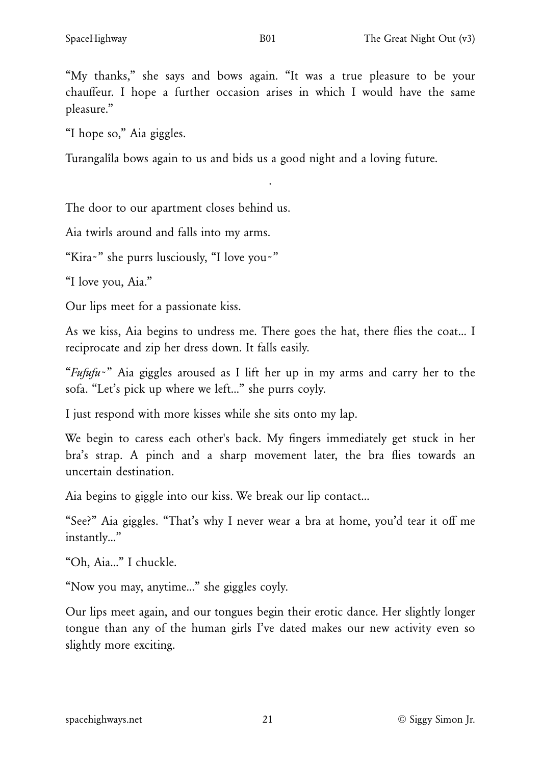"My thanks," she says and bows again. "It was a true pleasure to be your chauffeur. I hope a further occasion arises in which I would have the same pleasure."

·

"I hope so," Aia giggles.

Turangalîla bows again to us and bids us a good night and a loving future.

The door to our apartment closes behind us.

Aia twirls around and falls into my arms.

"Kira~" she purrs lusciously, "I love you~"

"I love you, Aia."

Our lips meet for a passionate kiss.

As we kiss, Aia begins to undress me. There goes the hat, there flies the coat… I reciprocate and zip her dress down. It falls easily.

"*Fufufu*~" Aia giggles aroused as I lift her up in my arms and carry her to the sofa. "Let's pick up where we left…" she purrs coyly.

I just respond with more kisses while she sits onto my lap.

We begin to caress each other's back. My fingers immediately get stuck in her bra's strap. A pinch and a sharp movement later, the bra flies towards an uncertain destination.

Aia begins to giggle into our kiss. We break our lip contact…

"See?" Aia giggles. "That's why I never wear a bra at home, you'd tear it off me instantly…"

"Oh, Aia…" I chuckle.

"Now you may, anytime…" she giggles coyly.

Our lips meet again, and our tongues begin their erotic dance. Her slightly longer tongue than any of the human girls I've dated makes our new activity even so slightly more exciting.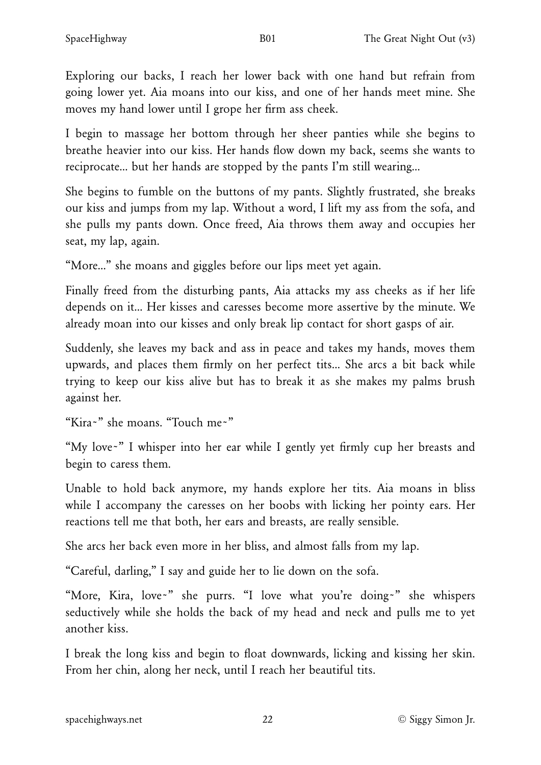Exploring our backs, I reach her lower back with one hand but refrain from going lower yet. Aia moans into our kiss, and one of her hands meet mine. She moves my hand lower until I grope her firm ass cheek.

I begin to massage her bottom through her sheer panties while she begins to breathe heavier into our kiss. Her hands flow down my back, seems she wants to reciprocate… but her hands are stopped by the pants I'm still wearing…

She begins to fumble on the buttons of my pants. Slightly frustrated, she breaks our kiss and jumps from my lap. Without a word, I lift my ass from the sofa, and she pulls my pants down. Once freed, Aia throws them away and occupies her seat, my lap, again.

"More…" she moans and giggles before our lips meet yet again.

Finally freed from the disturbing pants, Aia attacks my ass cheeks as if her life depends on it… Her kisses and caresses become more assertive by the minute. We already moan into our kisses and only break lip contact for short gasps of air.

Suddenly, she leaves my back and ass in peace and takes my hands, moves them upwards, and places them firmly on her perfect tits… She arcs a bit back while trying to keep our kiss alive but has to break it as she makes my palms brush against her.

"Kira~" she moans. "Touch me~"

"My love~" I whisper into her ear while I gently yet firmly cup her breasts and begin to caress them.

Unable to hold back anymore, my hands explore her tits. Aia moans in bliss while I accompany the caresses on her boobs with licking her pointy ears. Her reactions tell me that both, her ears and breasts, are really sensible.

She arcs her back even more in her bliss, and almost falls from my lap.

"Careful, darling," I say and guide her to lie down on the sofa.

"More, Kira, love~" she purrs. "I love what you're doing~" she whispers seductively while she holds the back of my head and neck and pulls me to yet another kiss.

I break the long kiss and begin to float downwards, licking and kissing her skin. From her chin, along her neck, until I reach her beautiful tits.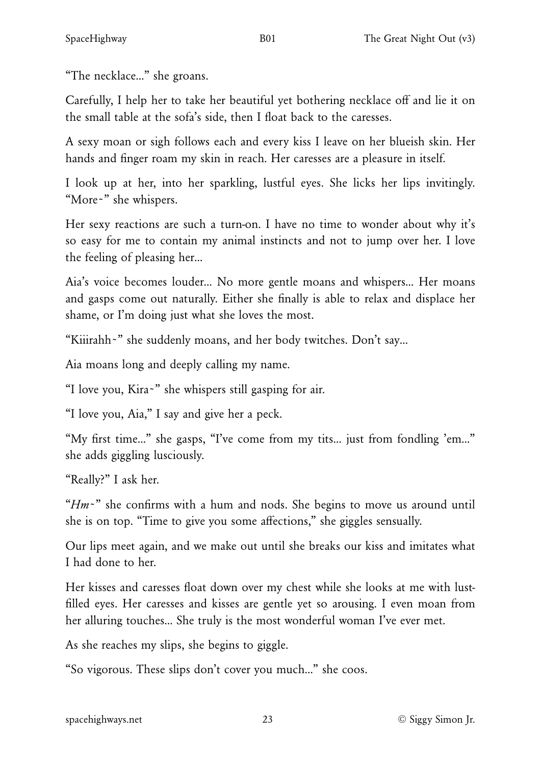"The necklace…" she groans.

Carefully, I help her to take her beautiful yet bothering necklace off and lie it on the small table at the sofa's side, then I float back to the caresses.

A sexy moan or sigh follows each and every kiss I leave on her blueish skin. Her hands and finger roam my skin in reach. Her caresses are a pleasure in itself.

I look up at her, into her sparkling, lustful eyes. She licks her lips invitingly. "More~" she whispers.

Her sexy reactions are such a turn-on. I have no time to wonder about why it's so easy for me to contain my animal instincts and not to jump over her. I love the feeling of pleasing her…

Aia's voice becomes louder… No more gentle moans and whispers… Her moans and gasps come out naturally. Either she finally is able to relax and displace her shame, or I'm doing just what she loves the most.

"Kiiirahh~" she suddenly moans, and her body twitches. Don't say…

Aia moans long and deeply calling my name.

"I love you, Kira~" she whispers still gasping for air.

"I love you, Aia," I say and give her a peck.

"My first time…" she gasps, "I've come from my tits… just from fondling 'em…" she adds giggling lusciously.

"Really?" I ask her.

"*Hm*~" she confirms with a hum and nods. She begins to move us around until she is on top. "Time to give you some affections," she giggles sensually.

Our lips meet again, and we make out until she breaks our kiss and imitates what I had done to her.

Her kisses and caresses float down over my chest while she looks at me with lustfilled eyes. Her caresses and kisses are gentle yet so arousing. I even moan from her alluring touches… She truly is the most wonderful woman I've ever met.

As she reaches my slips, she begins to giggle.

"So vigorous. These slips don't cover you much…" she coos.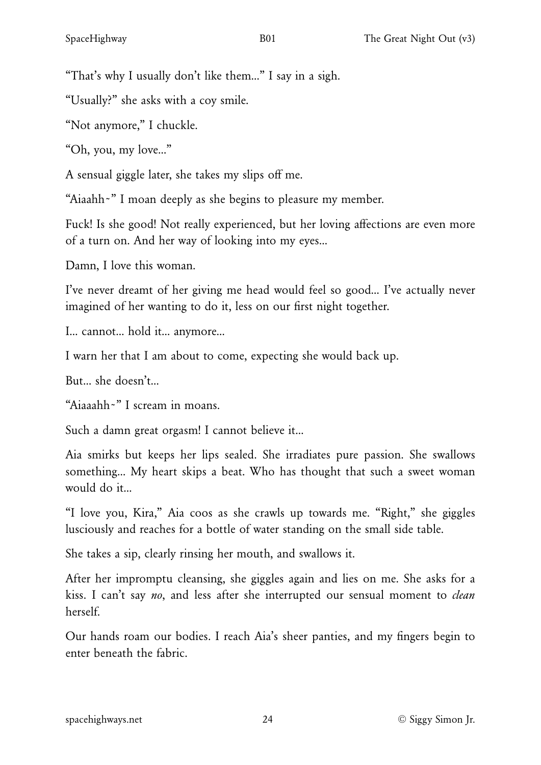"That's why I usually don't like them…" I say in a sigh.

"Usually?" she asks with a coy smile.

"Not anymore," I chuckle.

"Oh, you, my love…"

A sensual giggle later, she takes my slips off me.

"Aiaahh~" I moan deeply as she begins to pleasure my member.

Fuck! Is she good! Not really experienced, but her loving affections are even more of a turn on. And her way of looking into my eyes…

Damn, I love this woman.

I've never dreamt of her giving me head would feel so good… I've actually never imagined of her wanting to do it, less on our first night together.

I… cannot… hold it… anymore…

I warn her that I am about to come, expecting she would back up.

But… she doesn't…

"Aiaaahh~" I scream in moans.

Such a damn great orgasm! I cannot believe it…

Aia smirks but keeps her lips sealed. She irradiates pure passion. She swallows something… My heart skips a beat. Who has thought that such a sweet woman would do it…

"I love you, Kira," Aia coos as she crawls up towards me. "Right," she giggles lusciously and reaches for a bottle of water standing on the small side table.

She takes a sip, clearly rinsing her mouth, and swallows it.

After her impromptu cleansing, she giggles again and lies on me. She asks for a kiss. I can't say *no*, and less after she interrupted our sensual moment to *clean* herself.

Our hands roam our bodies. I reach Aia's sheer panties, and my fingers begin to enter beneath the fabric.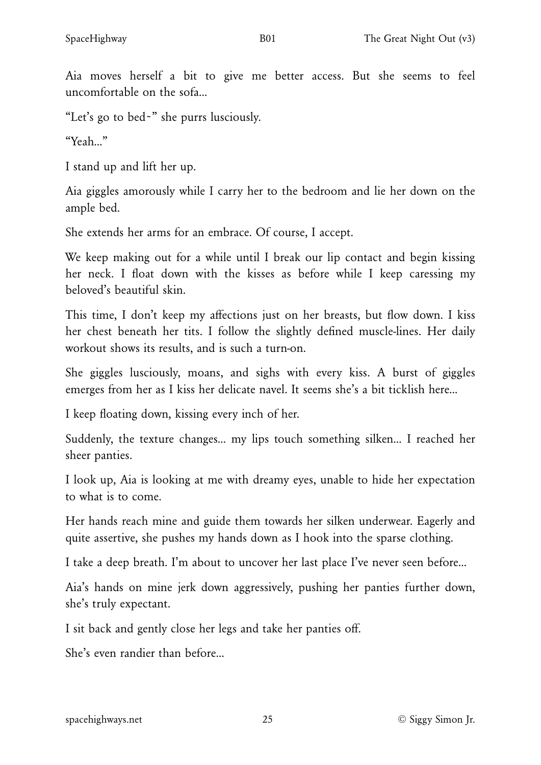Aia moves herself a bit to give me better access. But she seems to feel uncomfortable on the sofa…

"Let's go to bed~" she purrs lusciously.

"Yeah…"

I stand up and lift her up.

Aia giggles amorously while I carry her to the bedroom and lie her down on the ample bed.

She extends her arms for an embrace. Of course, I accept.

We keep making out for a while until I break our lip contact and begin kissing her neck. I float down with the kisses as before while I keep caressing my beloved's beautiful skin.

This time, I don't keep my affections just on her breasts, but flow down. I kiss her chest beneath her tits. I follow the slightly defined muscle-lines. Her daily workout shows its results, and is such a turn-on.

She giggles lusciously, moans, and sighs with every kiss. A burst of giggles emerges from her as I kiss her delicate navel. It seems she's a bit ticklish here…

I keep floating down, kissing every inch of her.

Suddenly, the texture changes… my lips touch something silken… I reached her sheer panties.

I look up, Aia is looking at me with dreamy eyes, unable to hide her expectation to what is to come.

Her hands reach mine and guide them towards her silken underwear. Eagerly and quite assertive, she pushes my hands down as I hook into the sparse clothing.

I take a deep breath. I'm about to uncover her last place I've never seen before…

Aia's hands on mine jerk down aggressively, pushing her panties further down, she's truly expectant.

I sit back and gently close her legs and take her panties off.

She's even randier than before…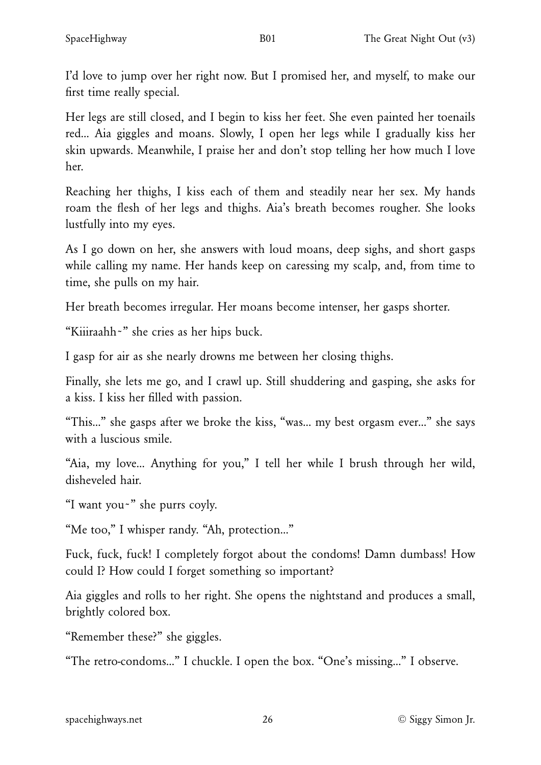I'd love to jump over her right now. But I promised her, and myself, to make our first time really special.

Her legs are still closed, and I begin to kiss her feet. She even painted her toenails red… Aia giggles and moans. Slowly, I open her legs while I gradually kiss her skin upwards. Meanwhile, I praise her and don't stop telling her how much I love her.

Reaching her thighs, I kiss each of them and steadily near her sex. My hands roam the flesh of her legs and thighs. Aia's breath becomes rougher. She looks lustfully into my eyes.

As I go down on her, she answers with loud moans, deep sighs, and short gasps while calling my name. Her hands keep on caressing my scalp, and, from time to time, she pulls on my hair.

Her breath becomes irregular. Her moans become intenser, her gasps shorter.

"Kiiiraahh~" she cries as her hips buck.

I gasp for air as she nearly drowns me between her closing thighs.

Finally, she lets me go, and I crawl up. Still shuddering and gasping, she asks for a kiss. I kiss her filled with passion.

"This…" she gasps after we broke the kiss, "was… my best orgasm ever…" she says with a luscious smile.

"Aia, my love… Anything for you," I tell her while I brush through her wild, disheveled hair.

"I want you~" she purrs coyly.

"Me too," I whisper randy. "Ah, protection…"

Fuck, fuck, fuck! I completely forgot about the condoms! Damn dumbass! How could I? How could I forget something so important?

Aia giggles and rolls to her right. She opens the nightstand and produces a small, brightly colored box.

"Remember these?" she giggles.

"The retro-condoms…" I chuckle. I open the box. "One's missing…" I observe.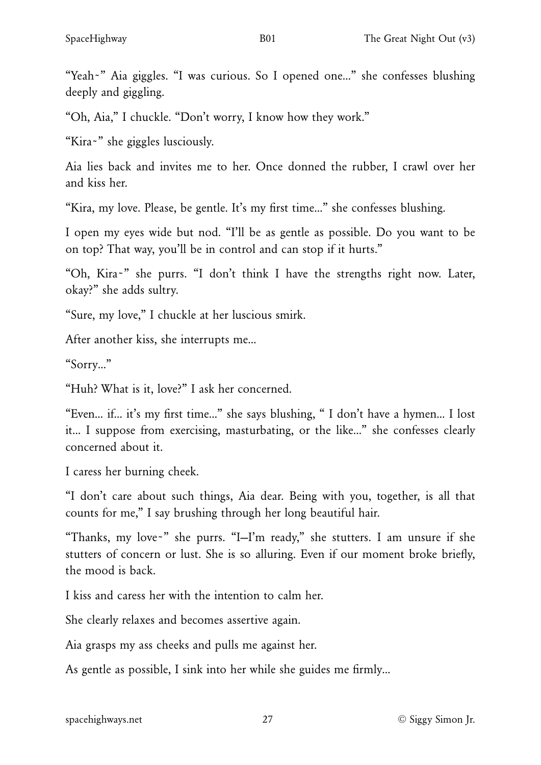"Yeah~" Aia giggles. "I was curious. So I opened one…" she confesses blushing deeply and giggling.

"Oh, Aia," I chuckle. "Don't worry, I know how they work."

"Kira~" she giggles lusciously.

Aia lies back and invites me to her. Once donned the rubber, I crawl over her and kiss her.

"Kira, my love. Please, be gentle. It's my first time…" she confesses blushing.

I open my eyes wide but nod. "I'll be as gentle as possible. Do you want to be on top? That way, you'll be in control and can stop if it hurts."

"Oh, Kira~" she purrs. "I don't think I have the strengths right now. Later, okay?" she adds sultry.

"Sure, my love," I chuckle at her luscious smirk.

After another kiss, she interrupts me…

"Sorry…"

"Huh? What is it, love?" I ask her concerned.

"Even… if… it's my first time…" she says blushing, " I don't have a hymen… I lost it… I suppose from exercising, masturbating, or the like…" she confesses clearly concerned about it.

I caress her burning cheek.

"I don't care about such things, Aia dear. Being with you, together, is all that counts for me," I say brushing through her long beautiful hair.

"Thanks, my love~" she purrs. "I—I'm ready," she stutters. I am unsure if she stutters of concern or lust. She is so alluring. Even if our moment broke briefly, the mood is back.

I kiss and caress her with the intention to calm her.

She clearly relaxes and becomes assertive again.

Aia grasps my ass cheeks and pulls me against her.

As gentle as possible, I sink into her while she guides me firmly…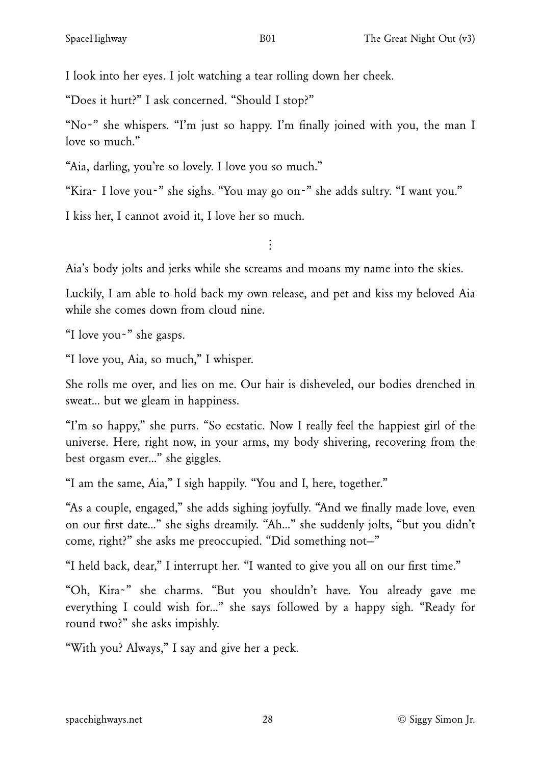I look into her eyes. I jolt watching a tear rolling down her cheek.

"Does it hurt?" I ask concerned. "Should I stop?"

"No~" she whispers. "I'm just so happy. I'm finally joined with you, the man I love so much."

"Aia, darling, you're so lovely. I love you so much."

"Kira~ I love you~" she sighs. "You may go on~" she adds sultry. "I want you."

I kiss her, I cannot avoid it, I love her so much.

 $\ddot{\cdot}$ 

Aia's body jolts and jerks while she screams and moans my name into the skies.

Luckily, I am able to hold back my own release, and pet and kiss my beloved Aia while she comes down from cloud nine.

"I love you~" she gasps.

"I love you, Aia, so much," I whisper.

She rolls me over, and lies on me. Our hair is disheveled, our bodies drenched in sweat… but we gleam in happiness.

"I'm so happy," she purrs. "So ecstatic. Now I really feel the happiest girl of the universe. Here, right now, in your arms, my body shivering, recovering from the best orgasm ever…" she giggles.

"I am the same, Aia," I sigh happily. "You and I, here, together."

"As a couple, engaged," she adds sighing joyfully. "And we finally made love, even on our first date…" she sighs dreamily. "Ah…" she suddenly jolts, "but you didn't come, right?" she asks me preoccupied. "Did something not—"

"I held back, dear," I interrupt her. "I wanted to give you all on our first time."

"Oh, Kira~" she charms. "But you shouldn't have. You already gave me everything I could wish for…" she says followed by a happy sigh. "Ready for round two?" she asks impishly.

"With you? Always," I say and give her a peck.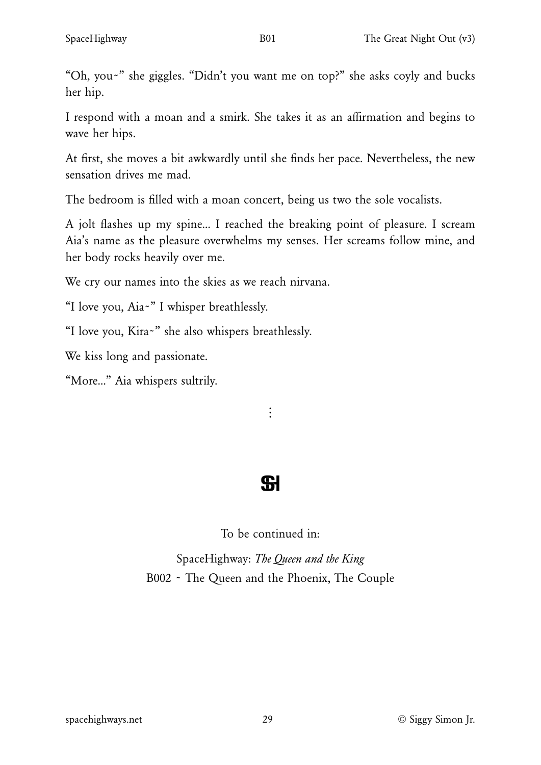"Oh, you~" she giggles. "Didn't you want me on top?" she asks coyly and bucks her hip.

I respond with a moan and a smirk. She takes it as an affirmation and begins to wave her hips.

At first, she moves a bit awkwardly until she finds her pace. Nevertheless, the new sensation drives me mad.

The bedroom is filled with a moan concert, being us two the sole vocalists.

A jolt flashes up my spine… I reached the breaking point of pleasure. I scream Aia's name as the pleasure overwhelms my senses. Her screams follow mine, and her body rocks heavily over me.

We cry our names into the skies as we reach nirvana.

"I love you, Aia~" I whisper breathlessly.

"I love you, Kira~" she also whispers breathlessly.

We kiss long and passionate.

"More…" Aia whispers sultrily.

 $\vdots$ 

# **SI**

To be continued in:

SpaceHighway: *The Queen and the King* B002 ~ The Queen and the Phoenix, The Couple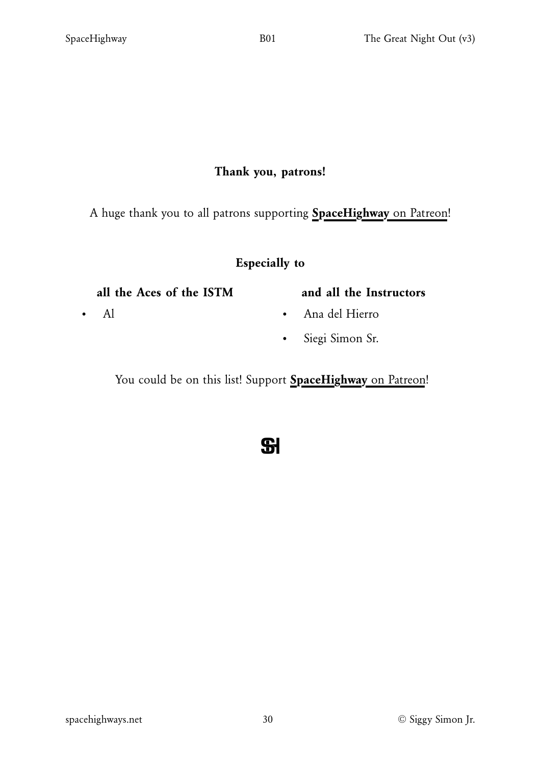#### Thank you, patrons!

A huge thank you to all patrons supporting **[SpaceHighway](https://www.patreon.com/spacehighway)** [on Patreon!](https://www.patreon.com/spacehighway)

#### Especially to

#### all the Aces of the ISTM

• Al

### and all the Instructors

- Ana del Hierro
- Siegi Simon Sr.

You could be on this list! Support [SpaceHighway](https://www.patreon.com/spacehighway) [on Patreon!](https://www.patreon.com/spacehighway)

 $\mathbf{S}$